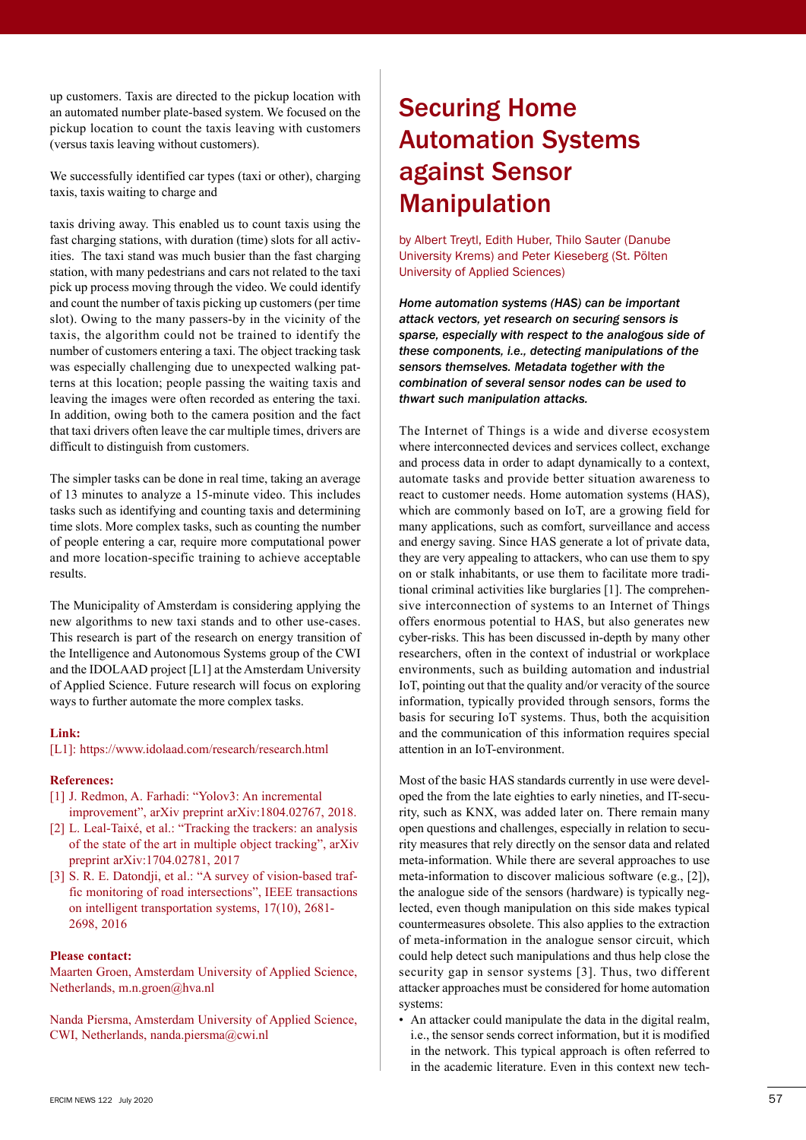up customers. Taxis are directed to the pickup location with an automated number plate-based system. We focused on the pickup location to count the taxis leaving with customers (versus taxis leaving without customers).

We successfully identified car types (taxi or other), charging taxis, taxis waiting to charge and

taxis driving away. This enabled us to count taxis using the fast charging stations, with duration (time) slots for all activities. The taxi stand was much busier than the fast charging station, with many pedestrians and cars not related to the taxi pick up process moving through the video. We could identify and count the number of taxis picking up customers (per time slot). Owing to the many passers-by in the vicinity of the taxis, the algorithm could not be trained to identify the number of customers entering a taxi. The object tracking task was especially challenging due to unexpected walking patterns at this location; people passing the waiting taxis and leaving the images were often recorded as entering the taxi. In addition, owing both to the camera position and the fact that taxi drivers often leave the car multiple times, drivers are difficult to distinguish from customers.

The simpler tasks can be done in real time, taking an average of 13 minutes to analyze a 15-minute video. This includes tasks such as identifying and counting taxis and determining time slots. More complex tasks, such as counting the number of people entering a car, require more computational power and more location-specific training to achieve acceptable results.

The Municipality of Amsterdam is considering applying the new algorithms to new taxi stands and to other use-cases. This research is part of the research on energy transition of the Intelligence and Autonomous Systems group of the CWI and the IDOLAAD project [L1] at the Amsterdam University of Applied Science. Future research will focus on exploring ways to further automate the more complex tasks.

#### **Link:**

[L1]: https://www.idolaad.com/research/research.html

## **References:**

- [1] J. Redmon, A. Farhadi: "Yolov3: An incremental improvement", arXiv preprint arXiv:1804.02767, 2018.
- [2] L. Leal-Taixé, et al.: "Tracking the trackers: an analysis of the state of the art in multiple object tracking", arXiv preprint arXiv:1704.02781, 2017
- [3] S. R. E. Datondji, et al.: "A survey of vision-based traffic monitoring of road intersections", IEEE transactions on intelligent transportation systems, 17(10), 2681- 2698, 2016

### **Please contact:**

Maarten Groen, Amsterdam University of Applied Science, Netherlands, m.n.groen@hva.nl

Nanda Piersma, Amsterdam University of Applied Science, CWI, Netherlands, nanda.piersma@cwi.nl

# **Securing Home Automation Systems** against Sensor Manipulation

by Albert Treytl, Edith Huber, Thilo Sauter (Danube University Krems) and Peter Kieseberg (St. Pölten University of Applied Sciences)

*Home automation systems (HAS) can be important attack vectors, yet research on securing sensors is sparse, especially with respect to the analogous side of these components, i.e., detecting manipulations of the sensors themselves. Metadata together with the combination of several sensor nodes can be used to thwart such manipulation attacks.*

The Internet of Things is a wide and diverse ecosystem where interconnected devices and services collect, exchange and process data in order to adapt dynamically to a context, automate tasks and provide better situation awareness to react to customer needs. Home automation systems (HAS), which are commonly based on IoT, are a growing field for many applications, such as comfort, surveillance and access and energy saving. Since HAS generate a lot of private data, they are very appealing to attackers, who can use them to spy on or stalk inhabitants, or use them to facilitate more traditional criminal activities like burglaries [1]. The comprehensive interconnection of systems to an Internet of Things offers enormous potential to HAS, but also generates new cyber-risks. This has been discussed in-depth by many other researchers, often in the context of industrial or workplace environments, such as building automation and industrial IoT, pointing out that the quality and/or veracity of the source information, typically provided through sensors, forms the basis for securing IoT systems. Thus, both the acquisition and the communication of this information requires special attention in an IoT-environment.

Most of the basic HAS standards currently in use were developed the from the late eighties to early nineties, and IT-security, such as KNX, was added later on. There remain many open questions and challenges, especially in relation to security measures that rely directly on the sensor data and related meta-information. While there are several approaches to use meta-information to discover malicious software (e.g., [2]), the analogue side of the sensors (hardware) is typically neglected, even though manipulation on this side makes typical countermeasures obsolete. This also applies to the extraction of meta-information in the analogue sensor circuit, which could help detect such manipulations and thus help close the security gap in sensor systems [3]. Thus, two different attacker approaches must be considered for home automation systems:

• An attacker could manipulate the data in the digital realm, i.e., the sensor sends correct information, but it is modified in the network. This typical approach is often referred to in the academic literature. Even in this context new tech-